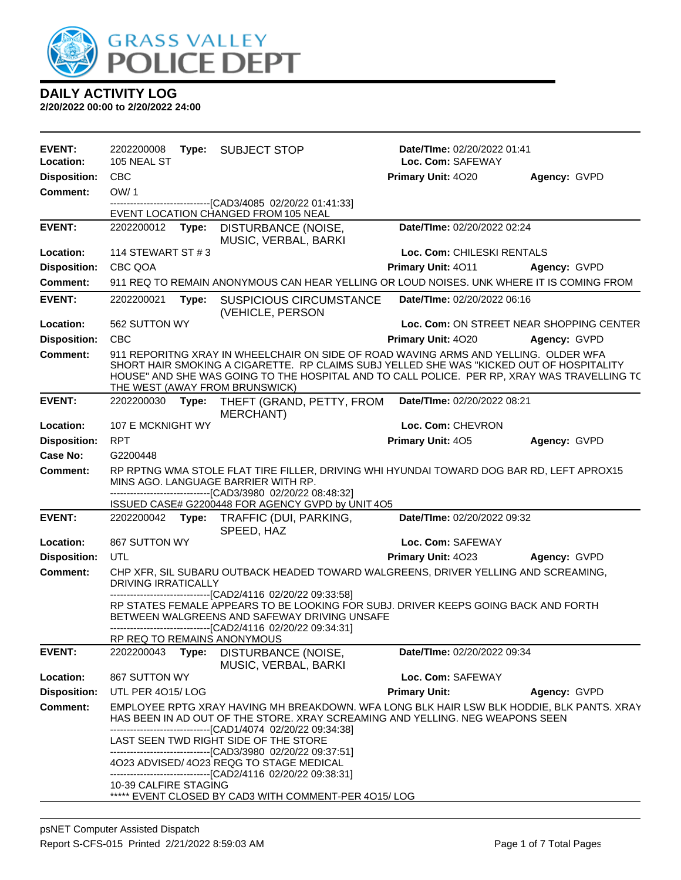

| <b>EVENT:</b><br>Location: | 2202200008<br>105 NEAL ST  | Type: | <b>SUBJECT STOP</b>                                                                                                                                                                                                                                                                                                                                                                                                                                              | Date/TIme: 02/20/2022 01:41<br>Loc. Com: SAFEWAY |                                          |
|----------------------------|----------------------------|-------|------------------------------------------------------------------------------------------------------------------------------------------------------------------------------------------------------------------------------------------------------------------------------------------------------------------------------------------------------------------------------------------------------------------------------------------------------------------|--------------------------------------------------|------------------------------------------|
| <b>Disposition:</b>        | <b>CBC</b>                 |       |                                                                                                                                                                                                                                                                                                                                                                                                                                                                  | Primary Unit: 4020                               | Agency: GVPD                             |
| <b>Comment:</b>            | OW/1                       |       |                                                                                                                                                                                                                                                                                                                                                                                                                                                                  |                                                  |                                          |
|                            |                            |       | -------------------------------[CAD3/4085 02/20/22 01:41:33]<br>EVENT LOCATION CHANGED FROM 105 NEAL                                                                                                                                                                                                                                                                                                                                                             |                                                  |                                          |
| <b>EVENT:</b>              |                            |       | 2202200012 Type: DISTURBANCE (NOISE,                                                                                                                                                                                                                                                                                                                                                                                                                             | Date/TIme: 02/20/2022 02:24                      |                                          |
|                            |                            |       | MUSIC, VERBAL, BARKI                                                                                                                                                                                                                                                                                                                                                                                                                                             |                                                  |                                          |
| Location:                  | 114 STEWART ST # 3         |       |                                                                                                                                                                                                                                                                                                                                                                                                                                                                  | Loc. Com: CHILESKI RENTALS                       |                                          |
| <b>Disposition:</b>        | CBC QOA                    |       |                                                                                                                                                                                                                                                                                                                                                                                                                                                                  | Primary Unit: 4011                               | Agency: GVPD                             |
| <b>Comment:</b>            |                            |       | 911 REQ TO REMAIN ANONYMOUS CAN HEAR YELLING OR LOUD NOISES. UNK WHERE IT IS COMING FROM                                                                                                                                                                                                                                                                                                                                                                         |                                                  |                                          |
| <b>EVENT:</b>              | 2202200021                 | Type: | <b>SUSPICIOUS CIRCUMSTANCE</b><br>(VEHICLE, PERSON                                                                                                                                                                                                                                                                                                                                                                                                               | Date/TIme: 02/20/2022 06:16                      |                                          |
| Location:                  | 562 SUTTON WY              |       |                                                                                                                                                                                                                                                                                                                                                                                                                                                                  |                                                  | Loc. Com: ON STREET NEAR SHOPPING CENTER |
| <b>Disposition:</b>        | <b>CBC</b>                 |       |                                                                                                                                                                                                                                                                                                                                                                                                                                                                  | <b>Primary Unit: 4020</b>                        | Agency: GVPD                             |
| <b>Comment:</b>            |                            |       | 911 REPORITNG XRAY IN WHEELCHAIR ON SIDE OF ROAD WAVING ARMS AND YELLING. OLDER WFA<br>SHORT HAIR SMOKING A CIGARETTE. RP CLAIMS SUBJ YELLED SHE WAS "KICKED OUT OF HOSPITALITY<br>HOUSE" AND SHE WAS GOING TO THE HOSPITAL AND TO CALL POLICE. PER RP, XRAY WAS TRAVELLING TO<br>THE WEST (AWAY FROM BRUNSWICK)                                                                                                                                                 |                                                  |                                          |
| <b>EVENT:</b>              |                            |       | 2202200030 Type: THEFT (GRAND, PETTY, FROM<br><b>MERCHANT)</b>                                                                                                                                                                                                                                                                                                                                                                                                   | Date/TIme: 02/20/2022 08:21                      |                                          |
| Location:                  | 107 E MCKNIGHT WY          |       |                                                                                                                                                                                                                                                                                                                                                                                                                                                                  | Loc. Com: CHEVRON                                |                                          |
| <b>Disposition:</b>        | <b>RPT</b>                 |       |                                                                                                                                                                                                                                                                                                                                                                                                                                                                  | Primary Unit: 405                                | Agency: GVPD                             |
| Case No:                   | G2200448                   |       |                                                                                                                                                                                                                                                                                                                                                                                                                                                                  |                                                  |                                          |
| <b>Comment:</b>            |                            |       | RP RPTNG WMA STOLE FLAT TIRE FILLER, DRIVING WHI HYUNDAI TOWARD DOG BAR RD, LEFT APROX15<br>MINS AGO. LANGUAGE BARRIER WITH RP.<br>-------------------------------[CAD3/3980 02/20/22 08:48:32]                                                                                                                                                                                                                                                                  |                                                  |                                          |
| <b>EVENT:</b>              |                            |       | ISSUED CASE# G2200448 FOR AGENCY GVPD by UNIT 4O5<br>2202200042 Type: TRAFFIC (DUI, PARKING,                                                                                                                                                                                                                                                                                                                                                                     | Date/TIme: 02/20/2022 09:32                      |                                          |
| Location:                  | 867 SUTTON WY              |       | SPEED, HAZ                                                                                                                                                                                                                                                                                                                                                                                                                                                       | Loc. Com: SAFEWAY                                |                                          |
| <b>Disposition:</b>        | UTL                        |       |                                                                                                                                                                                                                                                                                                                                                                                                                                                                  | Primary Unit: 4023                               | Agency: GVPD                             |
| <b>Comment:</b>            |                            |       | CHP XFR, SIL SUBARU OUTBACK HEADED TOWARD WALGREENS, DRIVER YELLING AND SCREAMING,                                                                                                                                                                                                                                                                                                                                                                               |                                                  |                                          |
|                            | <b>DRIVING IRRATICALLY</b> |       |                                                                                                                                                                                                                                                                                                                                                                                                                                                                  |                                                  |                                          |
|                            |                            |       | --------------------------[CAD2/4116 02/20/22 09:33:58]<br>RP STATES FEMALE APPEARS TO BE LOOKING FOR SUBJ. DRIVER KEEPS GOING BACK AND FORTH<br>BETWEEN WALGREENS AND SAFEWAY DRIVING UNSAFE<br>-------------------------------[CAD2/4116 02/20/22 09:34:31]                                                                                                                                                                                                    |                                                  |                                          |
|                            |                            |       | RP REQ TO REMAINS ANONYMOUS                                                                                                                                                                                                                                                                                                                                                                                                                                      |                                                  |                                          |
| <b>EVENT:</b>              | 2202200043                 | Type: | <b>DISTURBANCE (NOISE,</b><br>MUSIC, VERBAL, BARKI                                                                                                                                                                                                                                                                                                                                                                                                               | Date/TIme: 02/20/2022 09:34                      |                                          |
| Location:                  | 867 SUTTON WY              |       |                                                                                                                                                                                                                                                                                                                                                                                                                                                                  | Loc. Com: SAFEWAY                                |                                          |
| <b>Disposition:</b>        | UTL PER 4015/LOG           |       |                                                                                                                                                                                                                                                                                                                                                                                                                                                                  | <b>Primary Unit:</b>                             | Agency: GVPD                             |
| <b>Comment:</b>            | 10-39 CALFIRE STAGING      |       | EMPLOYEE RPTG XRAY HAVING MH BREAKDOWN. WFA LONG BLK HAIR LSW BLK HODDIE, BLK PANTS. XRAY<br>HAS BEEN IN AD OUT OF THE STORE. XRAY SCREAMING AND YELLING. NEG WEAPONS SEEN<br>-------------------------------[CAD1/4074 02/20/22 09:34:38]<br>LAST SEEN TWD RIGHT SIDE OF THE STORE<br>--------------------------------[CAD3/3980 02/20/22 09:37:51]<br>4O23 ADVISED/ 4O23 REQG TO STAGE MEDICAL<br>-------------------------------[CAD2/4116 02/20/22 09:38:31] |                                                  |                                          |
|                            |                            |       | ***** EVENT CLOSED BY CAD3 WITH COMMENT-PER 4015/LOG                                                                                                                                                                                                                                                                                                                                                                                                             |                                                  |                                          |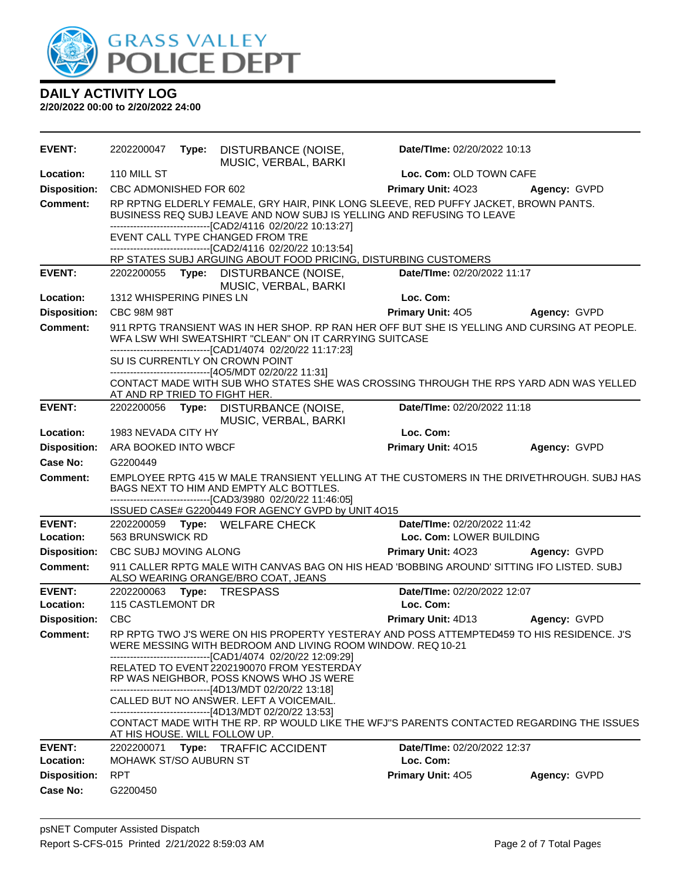

| <b>EVENT:</b>       |                                                                                                                                                                                                                                                                                                                    |  | 2202200047 Type: DISTURBANCE (NOISE,<br>MUSIC, VERBAL, BARKI                                                                                                                                                                                                                                                                                                                                                             | Date/TIme: 02/20/2022 10:13 |                         |  |  |  |
|---------------------|--------------------------------------------------------------------------------------------------------------------------------------------------------------------------------------------------------------------------------------------------------------------------------------------------------------------|--|--------------------------------------------------------------------------------------------------------------------------------------------------------------------------------------------------------------------------------------------------------------------------------------------------------------------------------------------------------------------------------------------------------------------------|-----------------------------|-------------------------|--|--|--|
| Location:           | 110 MILL ST                                                                                                                                                                                                                                                                                                        |  |                                                                                                                                                                                                                                                                                                                                                                                                                          |                             | Loc. Com: OLD TOWN CAFE |  |  |  |
| <b>Disposition:</b> | CBC ADMONISHED FOR 602                                                                                                                                                                                                                                                                                             |  |                                                                                                                                                                                                                                                                                                                                                                                                                          | Primary Unit: 4023          | Agency: GVPD            |  |  |  |
| Comment:            |                                                                                                                                                                                                                                                                                                                    |  | RP RPTNG ELDERLY FEMALE, GRY HAIR, PINK LONG SLEEVE, RED PUFFY JACKET, BROWN PANTS.<br>BUSINESS REQ SUBJ LEAVE AND NOW SUBJ IS YELLING AND REFUSING TO LEAVE<br>-------------------------------[CAD2/4116 02/20/22 10:13:27]<br>EVENT CALL TYPE CHANGED FROM TRE<br>------------------------------[CAD2/4116 02/20/22 10:13:54]                                                                                          |                             |                         |  |  |  |
|                     |                                                                                                                                                                                                                                                                                                                    |  | RP STATES SUBJ ARGUING ABOUT FOOD PRICING, DISTURBING CUSTOMERS                                                                                                                                                                                                                                                                                                                                                          |                             |                         |  |  |  |
| <b>EVENT:</b>       |                                                                                                                                                                                                                                                                                                                    |  | 2202200055 Type: DISTURBANCE (NOISE,<br>MUSIC, VERBAL, BARKI                                                                                                                                                                                                                                                                                                                                                             | Date/TIme: 02/20/2022 11:17 |                         |  |  |  |
| Location:           | 1312 WHISPERING PINES LN                                                                                                                                                                                                                                                                                           |  |                                                                                                                                                                                                                                                                                                                                                                                                                          | Loc. Com:                   |                         |  |  |  |
| <b>Disposition:</b> | <b>CBC 98M 98T</b>                                                                                                                                                                                                                                                                                                 |  |                                                                                                                                                                                                                                                                                                                                                                                                                          | <b>Primary Unit: 405</b>    | Agency: GVPD            |  |  |  |
| <b>Comment:</b>     | 911 RPTG TRANSIENT WAS IN HER SHOP. RP RAN HER OFF BUT SHE IS YELLING AND CURSING AT PEOPLE.<br>WFA LSW WHI SWEATSHIRT "CLEAN" ON IT CARRYING SUITCASE<br>-------------------------------[CAD1/4074 02/20/22 11:17:23]<br>SU IS CURRENTLY ON CROWN POINT<br>------------------------------[4O5/MDT 02/20/22 11:31] |  |                                                                                                                                                                                                                                                                                                                                                                                                                          |                             |                         |  |  |  |
|                     | AT AND RP TRIED TO FIGHT HER.                                                                                                                                                                                                                                                                                      |  | CONTACT MADE WITH SUB WHO STATES SHE WAS CROSSING THROUGH THE RPS YARD ADN WAS YELLED                                                                                                                                                                                                                                                                                                                                    |                             |                         |  |  |  |
| <b>EVENT:</b>       |                                                                                                                                                                                                                                                                                                                    |  | 2202200056 Type: DISTURBANCE (NOISE,<br>MUSIC, VERBAL, BARKI                                                                                                                                                                                                                                                                                                                                                             | Date/TIme: 02/20/2022 11:18 |                         |  |  |  |
| Location:           | 1983 NEVADA CITY HY                                                                                                                                                                                                                                                                                                |  |                                                                                                                                                                                                                                                                                                                                                                                                                          | Loc. Com:                   |                         |  |  |  |
| <b>Disposition:</b> | ARA BOOKED INTO WBCF                                                                                                                                                                                                                                                                                               |  |                                                                                                                                                                                                                                                                                                                                                                                                                          | Primary Unit: 4015          | Agency: GVPD            |  |  |  |
| <b>Case No:</b>     | G2200449                                                                                                                                                                                                                                                                                                           |  |                                                                                                                                                                                                                                                                                                                                                                                                                          |                             |                         |  |  |  |
| <b>Comment:</b>     | EMPLOYEE RPTG 415 W MALE TRANSIENT YELLING AT THE CUSTOMERS IN THE DRIVETHROUGH. SUBJ HAS<br>BAGS NEXT TO HIM AND EMPTY ALC BOTTLES.<br>-------------------------------[CAD3/3980 02/20/22 11:46:05]<br>ISSUED CASE# G2200449 FOR AGENCY GVPD by UNIT 4015                                                         |  |                                                                                                                                                                                                                                                                                                                                                                                                                          |                             |                         |  |  |  |
| <b>EVENT:</b>       |                                                                                                                                                                                                                                                                                                                    |  | 2202200059 Type: WELFARE CHECK                                                                                                                                                                                                                                                                                                                                                                                           | Date/TIme: 02/20/2022 11:42 |                         |  |  |  |
| Location:           | 563 BRUNSWICK RD                                                                                                                                                                                                                                                                                                   |  |                                                                                                                                                                                                                                                                                                                                                                                                                          | Loc. Com: LOWER BUILDING    |                         |  |  |  |
| <b>Disposition:</b> | CBC SUBJ MOVING ALONG                                                                                                                                                                                                                                                                                              |  |                                                                                                                                                                                                                                                                                                                                                                                                                          | <b>Primary Unit: 4023</b>   | Agency: GVPD            |  |  |  |
| <b>Comment:</b>     |                                                                                                                                                                                                                                                                                                                    |  | 911 CALLER RPTG MALE WITH CANVAS BAG ON HIS HEAD 'BOBBING AROUND' SITTING IFO LISTED. SUBJ<br>ALSO WEARING ORANGE/BRO COAT, JEANS                                                                                                                                                                                                                                                                                        |                             |                         |  |  |  |
| <b>EVENT:</b>       |                                                                                                                                                                                                                                                                                                                    |  | 2202200063 Type: TRESPASS                                                                                                                                                                                                                                                                                                                                                                                                | Date/TIme: 02/20/2022 12:07 |                         |  |  |  |
| Location:           | 115 CASTLEMONT DR                                                                                                                                                                                                                                                                                                  |  |                                                                                                                                                                                                                                                                                                                                                                                                                          | Loc. Com:                   |                         |  |  |  |
| <b>Disposition:</b> | <b>CBC</b>                                                                                                                                                                                                                                                                                                         |  |                                                                                                                                                                                                                                                                                                                                                                                                                          | <b>Primary Unit: 4D13</b>   | Agency: GVPD            |  |  |  |
| <b>Comment:</b>     |                                                                                                                                                                                                                                                                                                                    |  | RP RPTG TWO J'S WERE ON HIS PROPERTY YESTERAY AND POSS ATTEMPTED459 TO HIS RESIDENCE. J'S<br>WERE MESSING WITH BEDROOM AND LIVING ROOM WINDOW. REQ 10-21<br>------------------------------[CAD1/4074 02/20/22 12:09:29]<br>RELATED TO EVENT 2202190070 FROM YESTERDAY<br>RP WAS NEIGHBOR, POSS KNOWS WHO JS WERE<br>--------------------------------[4D13/MDT 02/20/22 13:18]<br>CALLED BUT NO ANSWER. LEFT A VOICEMAIL. |                             |                         |  |  |  |
|                     | AT HIS HOUSE. WILL FOLLOW UP.                                                                                                                                                                                                                                                                                      |  | ------------------------------[4D13/MDT 02/20/22 13:53]<br>CONTACT MADE WITH THE RP. RP WOULD LIKE THE WFJ"S PARENTS CONTACTED REGARDING THE ISSUES                                                                                                                                                                                                                                                                      |                             |                         |  |  |  |
| <b>EVENT:</b>       | 2202200071                                                                                                                                                                                                                                                                                                         |  | Type: TRAFFIC ACCIDENT                                                                                                                                                                                                                                                                                                                                                                                                   | Date/TIme: 02/20/2022 12:37 |                         |  |  |  |
| Location:           | <b>MOHAWK ST/SO AUBURN ST</b>                                                                                                                                                                                                                                                                                      |  |                                                                                                                                                                                                                                                                                                                                                                                                                          | Loc. Com:                   |                         |  |  |  |
| <b>Disposition:</b> | <b>RPT</b>                                                                                                                                                                                                                                                                                                         |  |                                                                                                                                                                                                                                                                                                                                                                                                                          | Primary Unit: 405           | Agency: GVPD            |  |  |  |
| Case No:            | G2200450                                                                                                                                                                                                                                                                                                           |  |                                                                                                                                                                                                                                                                                                                                                                                                                          |                             |                         |  |  |  |
|                     |                                                                                                                                                                                                                                                                                                                    |  |                                                                                                                                                                                                                                                                                                                                                                                                                          |                             |                         |  |  |  |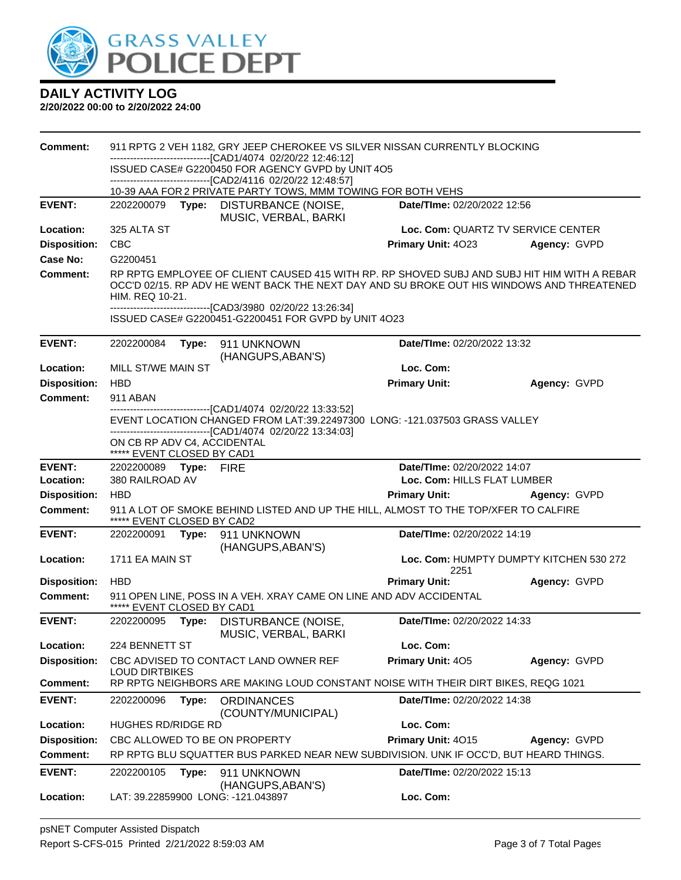

| <b>Comment:</b>     | 911 RPTG 2 VEH 1182, GRY JEEP CHEROKEE VS SILVER NISSAN CURRENTLY BLOCKING<br>--------------------------------[CAD1/4074 02/20/22 12:46:12]<br>ISSUED CASE# G2200450 FOR AGENCY GVPD by UNIT 4O5                                                                            |       |                                                                                                                                  |                             |                                         |  |  |
|---------------------|-----------------------------------------------------------------------------------------------------------------------------------------------------------------------------------------------------------------------------------------------------------------------------|-------|----------------------------------------------------------------------------------------------------------------------------------|-----------------------------|-----------------------------------------|--|--|
|                     |                                                                                                                                                                                                                                                                             |       |                                                                                                                                  |                             |                                         |  |  |
|                     |                                                                                                                                                                                                                                                                             |       | -------------------------------[CAD2/4116 02/20/22 12:48:57]                                                                     |                             |                                         |  |  |
|                     |                                                                                                                                                                                                                                                                             |       | 10-39 AAA FOR 2 PRIVATE PARTY TOWS, MMM TOWING FOR BOTH VEHS                                                                     |                             |                                         |  |  |
| <b>EVENT:</b>       | 2202200079                                                                                                                                                                                                                                                                  |       | Type: DISTURBANCE (NOISE,<br>MUSIC, VERBAL, BARKI                                                                                | Date/TIme: 02/20/2022 12:56 |                                         |  |  |
| Location:           | 325 ALTA ST                                                                                                                                                                                                                                                                 |       |                                                                                                                                  |                             | Loc. Com: QUARTZ TV SERVICE CENTER      |  |  |
| <b>Disposition:</b> | <b>CBC</b>                                                                                                                                                                                                                                                                  |       |                                                                                                                                  | Primary Unit: 4023          | Agency: GVPD                            |  |  |
| Case No:            | G2200451                                                                                                                                                                                                                                                                    |       |                                                                                                                                  |                             |                                         |  |  |
| <b>Comment:</b>     | RP RPTG EMPLOYEE OF CLIENT CAUSED 415 WITH RP. RP SHOVED SUBJ AND SUBJ HIT HIM WITH A REBAR<br>OCC'D 02/15. RP ADV HE WENT BACK THE NEXT DAY AND SU BROKE OUT HIS WINDOWS AND THREATENED<br>HIM. REQ 10-21.<br>-------------------------------[CAD3/3980 02/20/22 13:26:34] |       |                                                                                                                                  |                             |                                         |  |  |
|                     |                                                                                                                                                                                                                                                                             |       | ISSUED CASE# G2200451-G2200451 FOR GVPD by UNIT 4O23                                                                             |                             |                                         |  |  |
| <b>EVENT:</b>       | 2202200084                                                                                                                                                                                                                                                                  | Type: | 911 UNKNOWN<br>(HANGUPS, ABAN'S)                                                                                                 | Date/TIme: 02/20/2022 13:32 |                                         |  |  |
| Location:           | MILL ST/WE MAIN ST                                                                                                                                                                                                                                                          |       |                                                                                                                                  | Loc. Com:                   |                                         |  |  |
| <b>Disposition:</b> | <b>HBD</b>                                                                                                                                                                                                                                                                  |       |                                                                                                                                  | <b>Primary Unit:</b>        | Agency: GVPD                            |  |  |
| <b>Comment:</b>     | 911 ABAN                                                                                                                                                                                                                                                                    |       |                                                                                                                                  |                             |                                         |  |  |
|                     |                                                                                                                                                                                                                                                                             |       | ---------------------[CAD1/4074_02/20/22 13:33:52]<br>EVENT LOCATION CHANGED FROM LAT:39.22497300 LONG: -121.037503 GRASS VALLEY |                             |                                         |  |  |
|                     | ON CB RP ADV C4, ACCIDENTAL<br>***** EVENT CLOSED BY CAD1                                                                                                                                                                                                                   |       | -------------------------------[CAD1/4074 02/20/22 13:34:03]                                                                     |                             |                                         |  |  |
| <b>EVENT:</b>       | 2202200089 Type: FIRE                                                                                                                                                                                                                                                       |       |                                                                                                                                  | Date/TIme: 02/20/2022 14:07 |                                         |  |  |
| Location:           | 380 RAILROAD AV                                                                                                                                                                                                                                                             |       |                                                                                                                                  |                             | Loc. Com: HILLS FLAT LUMBER             |  |  |
| <b>Disposition:</b> | <b>HBD</b>                                                                                                                                                                                                                                                                  |       |                                                                                                                                  | <b>Primary Unit:</b>        | Agency: GVPD                            |  |  |
| <b>Comment:</b>     | ***** EVENT CLOSED BY CAD2                                                                                                                                                                                                                                                  |       | 911 A LOT OF SMOKE BEHIND LISTED AND UP THE HILL, ALMOST TO THE TOP/XFER TO CALFIRE                                              |                             |                                         |  |  |
| <b>EVENT:</b>       |                                                                                                                                                                                                                                                                             |       | 2202200091    Type: 911    UNKNOWN<br>(HANGUPS, ABAN'S)                                                                          | Date/TIme: 02/20/2022 14:19 |                                         |  |  |
| Location:           | 1711 EA MAIN ST                                                                                                                                                                                                                                                             |       |                                                                                                                                  | 2251                        | Loc. Com: HUMPTY DUMPTY KITCHEN 530 272 |  |  |
| <b>Disposition:</b> | <b>HBD</b>                                                                                                                                                                                                                                                                  |       |                                                                                                                                  | <b>Primary Unit:</b>        | Agency: GVPD                            |  |  |
| <b>Comment:</b>     | ***** EVENT CLOSED BY CAD1                                                                                                                                                                                                                                                  |       | 911 OPEN LINE, POSS IN A VEH. XRAY CAME ON LINE AND ADV ACCIDENTAL                                                               |                             |                                         |  |  |
| <b>EVENT:</b>       | 2202200095                                                                                                                                                                                                                                                                  | Type: | DISTURBANCE (NOISE,<br>MUSIC, VERBAL, BARKI                                                                                      | Date/TIme: 02/20/2022 14:33 |                                         |  |  |
| Location:           | 224 BENNETT ST                                                                                                                                                                                                                                                              |       |                                                                                                                                  | Loc. Com:                   |                                         |  |  |
| <b>Disposition:</b> |                                                                                                                                                                                                                                                                             |       | CBC ADVISED TO CONTACT LAND OWNER REF                                                                                            | Primary Unit: 405           | Agency: GVPD                            |  |  |
| <b>Comment:</b>     | <b>LOUD DIRTBIKES</b>                                                                                                                                                                                                                                                       |       | RP RPTG NEIGHBORS ARE MAKING LOUD CONSTANT NOISE WITH THEIR DIRT BIKES, REQG 1021                                                |                             |                                         |  |  |
| <b>EVENT:</b>       | 2202200096                                                                                                                                                                                                                                                                  | Type: | <b>ORDINANCES</b><br>(COUNTY/MUNICIPAL)                                                                                          | Date/TIme: 02/20/2022 14:38 |                                         |  |  |
| Location:           | <b>HUGHES RD/RIDGE RD</b>                                                                                                                                                                                                                                                   |       |                                                                                                                                  | Loc. Com:                   |                                         |  |  |
| <b>Disposition:</b> |                                                                                                                                                                                                                                                                             |       | CBC ALLOWED TO BE ON PROPERTY                                                                                                    | Primary Unit: 4015          | Agency: GVPD                            |  |  |
| <b>Comment:</b>     |                                                                                                                                                                                                                                                                             |       | RP RPTG BLU SQUATTER BUS PARKED NEAR NEW SUBDIVISION. UNK IF OCC'D, BUT HEARD THINGS.                                            |                             |                                         |  |  |
| <b>EVENT:</b>       | 2202200105                                                                                                                                                                                                                                                                  | Type: | 911 UNKNOWN                                                                                                                      | Date/TIme: 02/20/2022 15:13 |                                         |  |  |
| Location:           |                                                                                                                                                                                                                                                                             |       | (HANGUPS, ABAN'S)<br>LAT: 39.22859900 LONG: -121.043897                                                                          | Loc. Com:                   |                                         |  |  |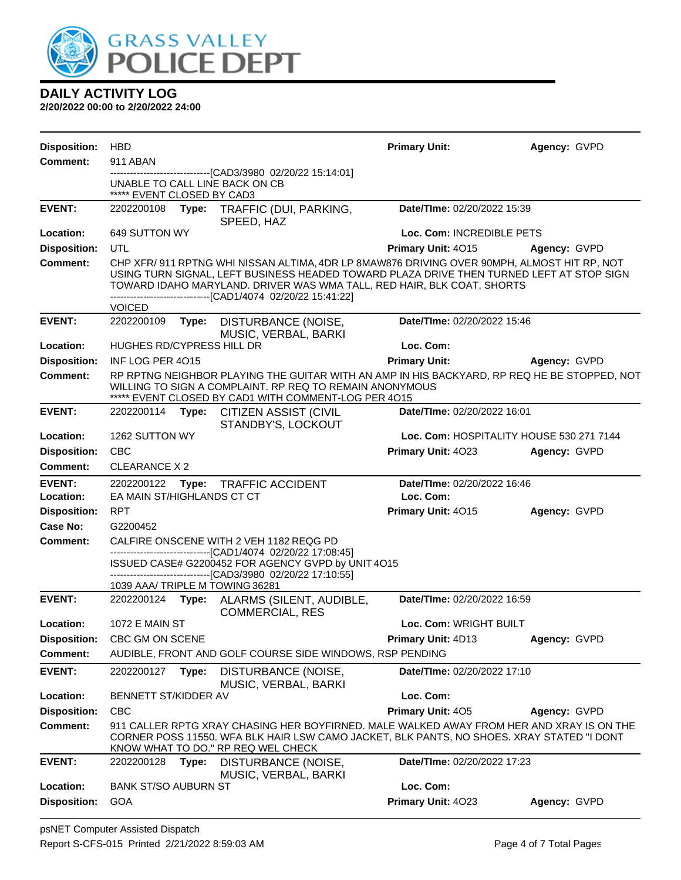

| <b>Disposition:</b>             | <b>HBD</b>                                                                                                                                                                                                                                                                                                                        |                                                                                                                                                                                                                             | <b>Primary Unit:</b>        | Agency: GVPD                             |  |  |  |
|---------------------------------|-----------------------------------------------------------------------------------------------------------------------------------------------------------------------------------------------------------------------------------------------------------------------------------------------------------------------------------|-----------------------------------------------------------------------------------------------------------------------------------------------------------------------------------------------------------------------------|-----------------------------|------------------------------------------|--|--|--|
| <b>Comment:</b>                 | 911 ABAN                                                                                                                                                                                                                                                                                                                          |                                                                                                                                                                                                                             |                             |                                          |  |  |  |
|                                 | ***** EVENT CLOSED BY CAD3                                                                                                                                                                                                                                                                                                        | --------------------------[CAD3/3980 02/20/22 15:14:01]<br>UNABLE TO CALL LINE BACK ON CB                                                                                                                                   |                             |                                          |  |  |  |
| <b>EVENT:</b>                   | 2202200108                                                                                                                                                                                                                                                                                                                        | Type:<br>TRAFFIC (DUI, PARKING,<br>SPEED, HAZ                                                                                                                                                                               | Date/TIme: 02/20/2022 15:39 |                                          |  |  |  |
| Location:                       | 649 SUTTON WY                                                                                                                                                                                                                                                                                                                     |                                                                                                                                                                                                                             | Loc. Com: INCREDIBLE PETS   |                                          |  |  |  |
| <b>Disposition:</b>             | UTL                                                                                                                                                                                                                                                                                                                               |                                                                                                                                                                                                                             | Primary Unit: 4015          | Agency: GVPD                             |  |  |  |
| <b>Comment:</b>                 | CHP XFR/ 911 RPTNG WHI NISSAN ALTIMA, 4DR LP 8MAW876 DRIVING OVER 90MPH, ALMOST HIT RP, NOT<br>USING TURN SIGNAL, LEFT BUSINESS HEADED TOWARD PLAZA DRIVE THEN TURNED LEFT AT STOP SIGN<br>TOWARD IDAHO MARYLAND. DRIVER WAS WMA TALL, RED HAIR, BLK COAT, SHORTS<br>-------------------------------[CAD1/4074 02/20/22 15:41:22] |                                                                                                                                                                                                                             |                             |                                          |  |  |  |
|                                 | <b>VOICED</b>                                                                                                                                                                                                                                                                                                                     |                                                                                                                                                                                                                             |                             |                                          |  |  |  |
| <b>EVENT:</b>                   | 2202200109                                                                                                                                                                                                                                                                                                                        | Type:<br>DISTURBANCE (NOISE,<br>MUSIC, VERBAL, BARKI                                                                                                                                                                        | Date/TIme: 02/20/2022 15:46 |                                          |  |  |  |
| Location:                       | <b>HUGHES RD/CYPRESS HILL DR</b>                                                                                                                                                                                                                                                                                                  |                                                                                                                                                                                                                             | Loc. Com:                   |                                          |  |  |  |
| <b>Disposition:</b>             | INF LOG PER 4015                                                                                                                                                                                                                                                                                                                  |                                                                                                                                                                                                                             | <b>Primary Unit:</b>        | Agency: GVPD                             |  |  |  |
| <b>Comment:</b>                 |                                                                                                                                                                                                                                                                                                                                   | RP RPTNG NEIGHBOR PLAYING THE GUITAR WITH AN AMP IN HIS BACKYARD, RP REQ HE BE STOPPED, NOT<br>WILLING TO SIGN A COMPLAINT. RP REQ TO REMAIN ANONYMOUS<br>***** EVENT CLOSED BY CAD1 WITH COMMENT-LOG PER 4015              |                             |                                          |  |  |  |
| <b>EVENT:</b>                   | 2202200114                                                                                                                                                                                                                                                                                                                        | Type:<br><b>CITIZEN ASSIST (CIVIL</b><br>STANDBY'S, LOCKOUT                                                                                                                                                                 | Date/TIme: 02/20/2022 16:01 |                                          |  |  |  |
| Location:                       | 1262 SUTTON WY                                                                                                                                                                                                                                                                                                                    |                                                                                                                                                                                                                             |                             | Loc. Com: HOSPITALITY HOUSE 530 271 7144 |  |  |  |
| <b>Disposition:</b>             | <b>CBC</b>                                                                                                                                                                                                                                                                                                                        |                                                                                                                                                                                                                             | Primary Unit: 4023          | Agency: GVPD                             |  |  |  |
| Comment:                        | <b>CLEARANCE X 2</b>                                                                                                                                                                                                                                                                                                              |                                                                                                                                                                                                                             |                             |                                          |  |  |  |
| <b>EVENT:</b>                   | Date/TIme: 02/20/2022 16:46<br>2202200122<br>Type: TRAFFIC ACCIDENT                                                                                                                                                                                                                                                               |                                                                                                                                                                                                                             |                             |                                          |  |  |  |
| Location:                       | EA MAIN ST/HIGHLANDS CT CT                                                                                                                                                                                                                                                                                                        |                                                                                                                                                                                                                             | Loc. Com:                   |                                          |  |  |  |
| <b>Disposition:</b><br>Case No: | <b>RPT</b><br>G2200452                                                                                                                                                                                                                                                                                                            |                                                                                                                                                                                                                             | Primary Unit: 4015          | Agency: GVPD                             |  |  |  |
|                                 |                                                                                                                                                                                                                                                                                                                                   |                                                                                                                                                                                                                             |                             |                                          |  |  |  |
|                                 |                                                                                                                                                                                                                                                                                                                                   |                                                                                                                                                                                                                             |                             |                                          |  |  |  |
| <b>Comment:</b>                 |                                                                                                                                                                                                                                                                                                                                   | CALFIRE ONSCENE WITH 2 VEH 1182 REQG PD<br>-------------------------------[CAD1/4074 02/20/22 17:08:45]                                                                                                                     |                             |                                          |  |  |  |
|                                 |                                                                                                                                                                                                                                                                                                                                   | ISSUED CASE# G2200452 FOR AGENCY GVPD by UNIT 4O15                                                                                                                                                                          |                             |                                          |  |  |  |
|                                 |                                                                                                                                                                                                                                                                                                                                   | -------------------------------[CAD3/3980 02/20/22 17:10:55]<br>1039 AAA/ TRIPLE M TOWING 36281                                                                                                                             |                             |                                          |  |  |  |
| <b>EVENT:</b>                   |                                                                                                                                                                                                                                                                                                                                   | 2202200124 Type: ALARMS (SILENT, AUDIBLE,<br><b>COMMERCIAL, RES</b>                                                                                                                                                         | Date/TIme: 02/20/2022 16:59 |                                          |  |  |  |
| Location:                       | <b>1072 E MAIN ST</b>                                                                                                                                                                                                                                                                                                             |                                                                                                                                                                                                                             | Loc. Com: WRIGHT BUILT      |                                          |  |  |  |
| <b>Disposition:</b>             | CBC GM ON SCENE                                                                                                                                                                                                                                                                                                                   |                                                                                                                                                                                                                             | Primary Unit: 4D13          | Agency: GVPD                             |  |  |  |
| Comment:                        |                                                                                                                                                                                                                                                                                                                                   | AUDIBLE, FRONT AND GOLF COURSE SIDE WINDOWS, RSP PENDING                                                                                                                                                                    |                             |                                          |  |  |  |
| <b>EVENT:</b>                   | 2202200127                                                                                                                                                                                                                                                                                                                        | Type:<br>DISTURBANCE (NOISE,<br>MUSIC, VERBAL, BARKI                                                                                                                                                                        | Date/TIme: 02/20/2022 17:10 |                                          |  |  |  |
| Location:                       | BENNETT ST/KIDDER AV                                                                                                                                                                                                                                                                                                              |                                                                                                                                                                                                                             | Loc. Com:                   |                                          |  |  |  |
| <b>Disposition:</b>             | <b>CBC</b>                                                                                                                                                                                                                                                                                                                        |                                                                                                                                                                                                                             | Primary Unit: 405           | Agency: GVPD                             |  |  |  |
| Comment:                        |                                                                                                                                                                                                                                                                                                                                   | 911 CALLER RPTG XRAY CHASING HER BOYFIRNED. MALE WALKED AWAY FROM HER AND XRAY IS ON THE<br>CORNER POSS 11550. WFA BLK HAIR LSW CAMO JACKET, BLK PANTS, NO SHOES. XRAY STATED "I DONT<br>KNOW WHAT TO DO." RP REQ WEL CHECK |                             |                                          |  |  |  |
| <b>EVENT:</b>                   | 2202200128                                                                                                                                                                                                                                                                                                                        | Type:<br>DISTURBANCE (NOISE,<br>MUSIC, VERBAL, BARKI                                                                                                                                                                        | Date/TIme: 02/20/2022 17:23 |                                          |  |  |  |
| Location:                       | <b>BANK ST/SO AUBURN ST</b><br>GOA                                                                                                                                                                                                                                                                                                |                                                                                                                                                                                                                             | Loc. Com:                   |                                          |  |  |  |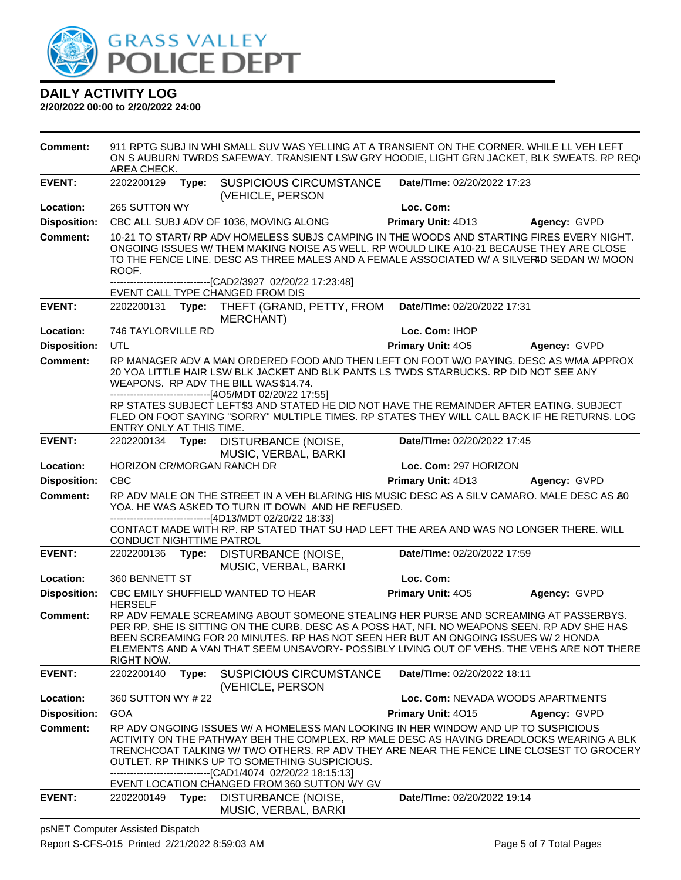

#### **2/20/2022 00:00 to 2/20/2022 24:00**

**Comment:** 911 RPTG SUBJ IN WHI SMALL SUV WAS YELLING AT A TRANSIENT ON THE CORNER. WHILE LL VEH LEFT ON S AUBURN TWRDS SAFEWAY. TRANSIENT LSW GRY HOODIE, LIGHT GRN JACKET, BLK SWEATS. RP REQ( AREA CHECK. **EVENT:** 2202200129 **Type:** SUSPICIOUS CIRCUMSTANCE (VEHICLE, PERSON **Date/TIme:** 02/20/2022 17:23 **Location:** 265 SUTTON WY **Loc. Com: Disposition:** CBC ALL SUBJ ADV OF 1036, MOVING ALONG **Primary Unit:** 4D13 **Agency:** GVPD **Comment:** 10-21 TO START/ RP ADV HOMELESS SUBJS CAMPING IN THE WOODS AND STARTING FIRES EVERY NIGHT. ONGOING ISSUES W/ THEM MAKING NOISE AS WELL. RP WOULD LIKE A 10-21 BECAUSE THEY ARE CLOSE TO THE FENCE LINE. DESC AS THREE MALES AND A FEMALE ASSOCIATED W/ A SILVERID SEDAN W/ MOON ROOF. ------------------------------[CAD2/3927 02/20/22 17:23:48] EVENT CALL TYPE CHANGED FROM DIS **EVENT:** 2202200131 **Type:** THEFT (GRAND, PETTY, FROM MERCHANT) **Date/TIme:** 02/20/2022 17:31 **Location:** 746 TAYLORVILLE RD **Loc. Com:** IHOP **Disposition:** UTL **Primary Unit:** 4O5 **Agency:** GVPD **Comment:** RP MANAGER ADV A MAN ORDERED FOOD AND THEN LEFT ON FOOT W/O PAYING. DESC AS WMA APPROX 20 YOA LITTLE HAIR LSW BLK JACKET AND BLK PANTS LS TWDS STARBUCKS. RP DID NOT SEE ANY WEAPONS. RP ADV THE BILL WAS \$14.74. ------------------------------[4O5/MDT 02/20/22 17:55] RP STATES SUBJECT LEFT \$3 AND STATED HE DID NOT HAVE THE REMAINDER AFTER EATING. SUBJECT FLED ON FOOT SAYING "SORRY" MULTIPLE TIMES. RP STATES THEY WILL CALL BACK IF HE RETURNS. LOG ENTRY ONLY AT THIS TIME. **EVENT:** 2202200134 **Type:** DISTURBANCE (NOISE, MUSIC, VERBAL, BARKI **Date/TIme:** 02/20/2022 17:45 **Location:** HORIZON CR/MORGAN RANCH DR **Loc. Com:** 297 HORIZON **Disposition:** CBC **Primary Unit:** 4D13 **Agency:** GVPD **Comment:** RP ADV MALE ON THE STREET IN A VEH BLARING HIS MUSIC DESC AS A SILV CAMARO. MALE DESC AS A30 YOA. HE WAS ASKED TO TURN IT DOWN AND HE REFUSED. ------------------------------[4D13/MDT 02/20/22 18:33] CONTACT MADE WITH RP. RP STATED THAT SU HAD LEFT THE AREA AND WAS NO LONGER THERE. WILL CONDUCT NIGHTTIME PATROL **EVENT:** 2202200136 **Type:** DISTURBANCE (NOISE, MUSIC, VERBAL, BARKI **Date/TIme:** 02/20/2022 17:59 **Location:** 360 BENNETT ST **Loc. Com: Disposition:** CBC EMILY SHUFFIELD WANTED TO HEAR HERSELF **Primary Unit:** 4O5 **Agency:** GVPD **Comment:** RP ADV FEMALE SCREAMING ABOUT SOMEONE STEALING HER PURSE AND SCREAMING AT PASSERBYS. PER RP, SHE IS SITTING ON THE CURB. DESC AS A POSS HAT, NFI. NO WEAPONS SEEN. RP ADV SHE HAS BEEN SCREAMING FOR 20 MINUTES. RP HAS NOT SEEN HER BUT AN ONGOING ISSUES W/ 2 HONDA ELEMENTS AND A VAN THAT SEEM UNSAVORY- POSSIBLY LIVING OUT OF VEHS. THE VEHS ARE NOT THERE RIGHT NOW. **EVENT:** 2202200140 **Type:** SUSPICIOUS CIRCUMSTANCE (VEHICLE, PERSON **Date/TIme:** 02/20/2022 18:11 **Location:** 360 SUTTON WY # 22 **Loc. Com:** NEVADA WOODS APARTMENTS **Disposition:** GOA **Primary Unit:** 4O15 **Agency:** GVPD **Comment:** RP ADV ONGOING ISSUES W/ A HOMELESS MAN LOOKING IN HER WINDOW AND UP TO SUSPICIOUS ACTIVITY ON THE PATHWAY BEH THE COMPLEX. RP MALE DESC AS HAVING DREADLOCKS WEARING A BLK TRENCHCOAT TALKING W/ TWO OTHERS. RP ADV THEY ARE NEAR THE FENCE LINE CLOSEST TO GROCERY OUTLET. RP THINKS UP TO SOMETHING SUSPICIOUS. ------------------------------[CAD1/4074 02/20/22 18:15:13] EVENT LOCATION CHANGED FROM 360 SUTTON WY GV **EVENT:** 2202200149 **Type:** DISTURBANCE (NOISE, MUSIC, VERBAL, BARKI **Date/TIme:** 02/20/2022 19:14

psNET Computer Assisted Dispatch Report S-CFS-015 Printed 2/21/2022 8:59:03 AM Page 5 of 7 Total Pages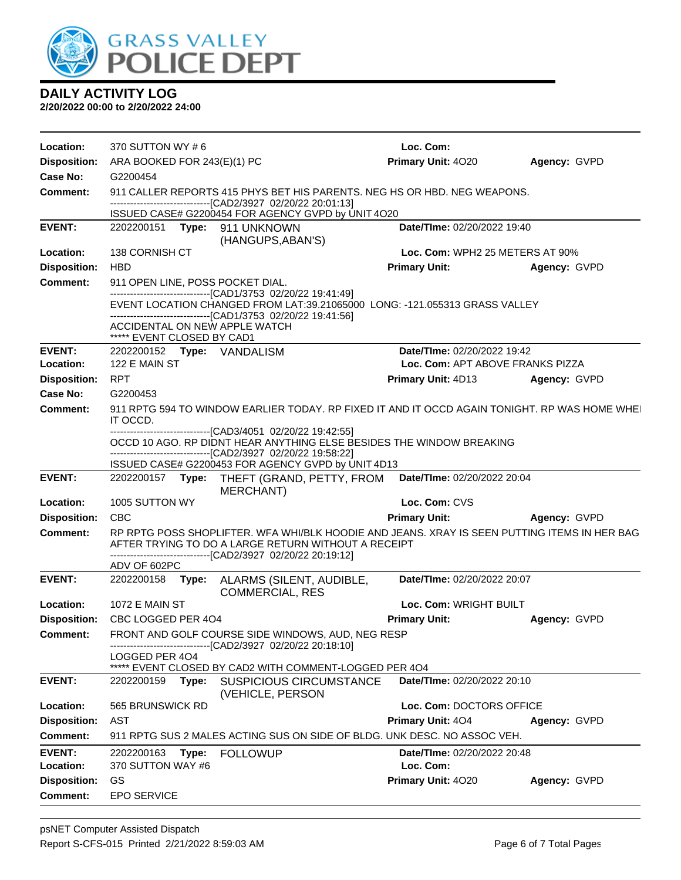

| Location:                              | 370 SUTTON WY #6                                                         |                                                                                                                      |                                                                                                                                                     | Loc. Com:                        |                     |  |  |  |
|----------------------------------------|--------------------------------------------------------------------------|----------------------------------------------------------------------------------------------------------------------|-----------------------------------------------------------------------------------------------------------------------------------------------------|----------------------------------|---------------------|--|--|--|
| <b>Disposition:</b>                    | ARA BOOKED FOR 243(E)(1) PC                                              |                                                                                                                      |                                                                                                                                                     | Primary Unit: 4020               | Agency: GVPD        |  |  |  |
| Case No:                               | G2200454                                                                 |                                                                                                                      |                                                                                                                                                     |                                  |                     |  |  |  |
| <b>Comment:</b>                        | 911 CALLER REPORTS 415 PHYS BET HIS PARENTS. NEG HS OR HBD. NEG WEAPONS. |                                                                                                                      |                                                                                                                                                     |                                  |                     |  |  |  |
|                                        |                                                                          | ---------------------------------[CAD2/3927 02/20/22 20:01:13]<br>ISSUED CASE# G2200454 FOR AGENCY GVPD by UNIT 4O20 |                                                                                                                                                     |                                  |                     |  |  |  |
| <b>EVENT:</b>                          |                                                                          |                                                                                                                      | 2202200151 Type: 911 UNKNOWN                                                                                                                        | Date/TIme: 02/20/2022 19:40      |                     |  |  |  |
|                                        | (HANGUPS, ABAN'S)                                                        |                                                                                                                      |                                                                                                                                                     |                                  |                     |  |  |  |
| Location:                              | 138 CORNISH CT                                                           |                                                                                                                      |                                                                                                                                                     | Loc. Com: WPH2 25 METERS AT 90%  |                     |  |  |  |
| <b>Disposition:</b>                    | <b>HBD</b>                                                               |                                                                                                                      |                                                                                                                                                     | <b>Primary Unit:</b>             | Agency: GVPD        |  |  |  |
| <b>Comment:</b>                        |                                                                          |                                                                                                                      | 911 OPEN LINE, POSS POCKET DIAL.<br>-------------------------------[CAD1/3753 02/20/22 19:41:49]                                                    |                                  |                     |  |  |  |
|                                        |                                                                          |                                                                                                                      | EVENT LOCATION CHANGED FROM LAT:39.21065000 LONG: -121.055313 GRASS VALLEY<br>-------------------------------[CAD1/3753 02/20/22 19:41:56]          |                                  |                     |  |  |  |
|                                        | ***** EVENT CLOSED BY CAD1                                               |                                                                                                                      | ACCIDENTAL ON NEW APPLE WATCH                                                                                                                       |                                  |                     |  |  |  |
| <b>EVENT:</b>                          |                                                                          |                                                                                                                      | 2202200152 Type: VANDALISM                                                                                                                          | Date/TIme: 02/20/2022 19:42      |                     |  |  |  |
| Location:                              | 122 E MAIN ST                                                            |                                                                                                                      |                                                                                                                                                     | Loc. Com: APT ABOVE FRANKS PIZZA |                     |  |  |  |
| <b>Disposition:</b>                    | <b>RPT</b>                                                               |                                                                                                                      |                                                                                                                                                     | <b>Primary Unit: 4D13</b>        | Agency: GVPD        |  |  |  |
| Case No:                               | G2200453                                                                 |                                                                                                                      |                                                                                                                                                     |                                  |                     |  |  |  |
| Comment:                               | IT OCCD.                                                                 |                                                                                                                      | 911 RPTG 594 TO WINDOW EARLIER TODAY. RP FIXED IT AND IT OCCD AGAIN TONIGHT. RP WAS HOME WHEI<br>--------------------[CAD3/4051_02/20/22 19:42:55]  |                                  |                     |  |  |  |
|                                        |                                                                          |                                                                                                                      | OCCD 10 AGO. RP DIDNT HEAR ANYTHING ELSE BESIDES THE WINDOW BREAKING<br>-----------------------------[CAD2/3927 02/20/22 19:58:22]                  |                                  |                     |  |  |  |
|                                        |                                                                          |                                                                                                                      |                                                                                                                                                     |                                  |                     |  |  |  |
|                                        |                                                                          |                                                                                                                      | ISSUED CASE# G2200453 FOR AGENCY GVPD by UNIT 4D13                                                                                                  |                                  |                     |  |  |  |
| <b>EVENT:</b>                          |                                                                          |                                                                                                                      | 2202200157 Type: THEFT (GRAND, PETTY, FROM Date/Time: 02/20/2022 20:04<br><b>MERCHANT)</b>                                                          |                                  |                     |  |  |  |
| Location:                              | 1005 SUTTON WY                                                           |                                                                                                                      |                                                                                                                                                     | Loc. Com: CVS                    |                     |  |  |  |
| <b>Disposition:</b>                    | <b>CBC</b>                                                               |                                                                                                                      |                                                                                                                                                     | <b>Primary Unit:</b>             | <b>Agency: GVPD</b> |  |  |  |
| <b>Comment:</b>                        |                                                                          |                                                                                                                      | RP RPTG POSS SHOPLIFTER. WFA WHI/BLK HOODIE AND JEANS. XRAY IS SEEN PUTTING ITEMS IN HER BAG<br>AFTER TRYING TO DO A LARGE RETURN WITHOUT A RECEIPT |                                  |                     |  |  |  |
|                                        | ADV OF 602PC                                                             |                                                                                                                      | -------------------------------[CAD2/3927 02/20/22 20:19:12]                                                                                        |                                  |                     |  |  |  |
| <b>EVENT:</b>                          | 2202200158                                                               |                                                                                                                      | Type: ALARMS (SILENT, AUDIBLE,                                                                                                                      | Date/TIme: 02/20/2022 20:07      |                     |  |  |  |
| Location:                              | <b>1072 E MAIN ST</b>                                                    |                                                                                                                      | <b>COMMERCIAL, RES</b>                                                                                                                              | Loc. Com: WRIGHT BUILT           |                     |  |  |  |
| <b>Disposition:</b>                    | CBC LOGGED PER 404                                                       |                                                                                                                      |                                                                                                                                                     | <b>Primary Unit:</b>             | Agency: GVPD        |  |  |  |
| <b>Comment:</b>                        |                                                                          |                                                                                                                      | FRONT AND GOLF COURSE SIDE WINDOWS, AUD, NEG RESP<br>-------------------------------[CAD2/3927 02/20/22 20:18:10]                                   |                                  |                     |  |  |  |
|                                        | LOGGED PER 404                                                           |                                                                                                                      |                                                                                                                                                     |                                  |                     |  |  |  |
| <b>EVENT:</b>                          | 2202200159                                                               | Type:                                                                                                                | ***** EVENT CLOSED BY CAD2 WITH COMMENT-LOGGED PER 404<br><b>SUSPICIOUS CIRCUMSTANCE</b>                                                            | Date/TIme: 02/20/2022 20:10      |                     |  |  |  |
|                                        |                                                                          |                                                                                                                      | (VEHICLE, PERSON                                                                                                                                    |                                  |                     |  |  |  |
| Location:                              | 565 BRUNSWICK RD                                                         |                                                                                                                      |                                                                                                                                                     | Loc. Com: DOCTORS OFFICE         |                     |  |  |  |
| <b>Disposition:</b>                    | AST                                                                      |                                                                                                                      |                                                                                                                                                     | Primary Unit: 404                | Agency: GVPD        |  |  |  |
| <b>Comment:</b><br><b>EVENT:</b>       | 2202200163                                                               | Type:                                                                                                                | 911 RPTG SUS 2 MALES ACTING SUS ON SIDE OF BLDG. UNK DESC. NO ASSOC VEH.<br><b>FOLLOWUP</b>                                                         | Date/TIme: 02/20/2022 20:48      |                     |  |  |  |
| Location:                              | 370 SUTTON WAY #6                                                        |                                                                                                                      |                                                                                                                                                     | Loc. Com:                        |                     |  |  |  |
| <b>Disposition:</b><br><b>Comment:</b> | GS<br><b>EPO SERVICE</b>                                                 |                                                                                                                      |                                                                                                                                                     | Primary Unit: 4020               | Agency: GVPD        |  |  |  |